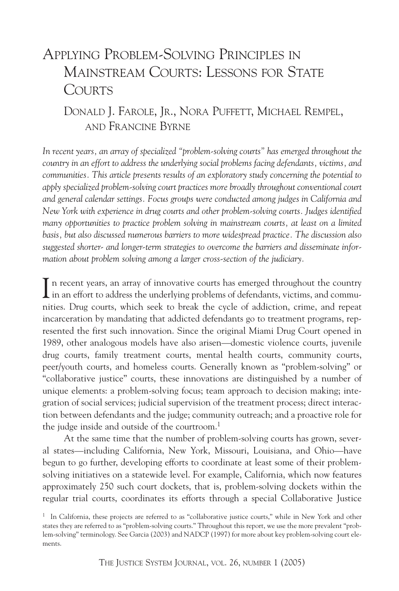# APPLYING PROBLEM-SOLVING PRINCIPLES IN MAINSTREAM COURTS: LESSONS FOR STATE **COURTS**

## DONALD J. FAROLE, JR., NORA PUFFETT, MICHAEL REMPEL, AND FRANCINE BYRNE

*In recent years, an array of specialized "problem-solving courts" has emerged throughout the country in an effort to address the underlying social problems facing defendants, victims, and communities. This article presents results of an exploratory study concerning the potential to apply specialized problem-solving court practices more broadly throughout conventional court and general calendar settings. Focus groups were conducted among judges in California and New York with experience in drug courts and other problem-solving courts. Judges identified many opportunities to practice problem solving in mainstream courts, at least on a limited basis, but also discussed numerous barriers to more widespread practice. The discussion also suggested shorter- and longer-term strategies to overcome the barriers and disseminate information about problem solving among a larger cross-section of the judiciary.*

In recent years, an array of innovative courts has emerged throughout the country In recent years, an array of innovative courts has emerged throughout the country<br>in an effort to address the underlying problems of defendants, victims, and communities. Drug courts, which seek to break the cycle of addiction, crime, and repeat incarceration by mandating that addicted defendants go to treatment programs, represented the first such innovation. Since the original Miami Drug Court opened in 1989, other analogous models have also arisen—domestic violence courts, juvenile drug courts, family treatment courts, mental health courts, community courts, peer/youth courts, and homeless courts. Generally known as "problem-solving" or "collaborative justice" courts, these innovations are distinguished by a number of unique elements: a problem-solving focus; team approach to decision making; integration of social services; judicial supervision of the treatment process; direct interaction between defendants and the judge; community outreach; and a proactive role for the judge inside and outside of the courtroom. $<sup>1</sup>$ </sup>

At the same time that the number of problem-solving courts has grown, several states—including California, New York, Missouri, Louisiana, and Ohio—have begun to go further, developing efforts to coordinate at least some of their problemsolving initiatives on a statewide level. For example, California, which now features approximately 250 such court dockets, that is, problem-solving dockets within the regular trial courts, coordinates its efforts through a special Collaborative Justice

<sup>1</sup> In California, these projects are referred to as "collaborative justice courts," while in New York and other states they are referred to as "problem-solving courts." Throughout this report, we use the more prevalent "problem-solving" terminology. See Garcia (2003) and NADCP (1997) for more about key problem-solving court elements.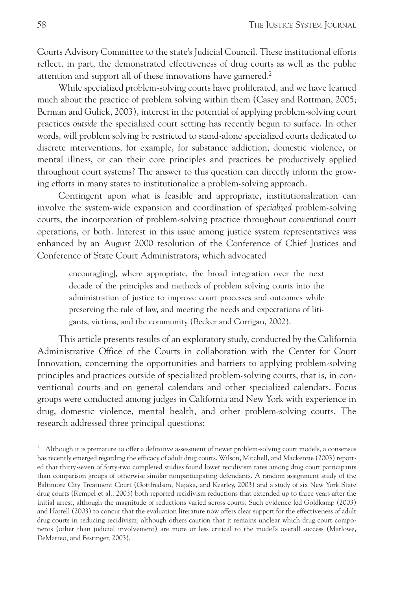Courts Advisory Committee to the state's Judicial Council. These institutional efforts reflect, in part, the demonstrated effectiveness of drug courts as well as the public attention and support all of these innovations have garnered.<sup>2</sup>

While specialized problem-solving courts have proliferated, and we have learned much about the practice of problem solving within them (Casey and Rottman, 2005; Berman and Gulick, 2003), interest in the potential of applying problem-solving court practices *outside* the specialized court setting has recently begun to surface. In other words, will problem solving be restricted to stand-alone specialized courts dedicated to discrete interventions, for example, for substance addiction, domestic violence, or mental illness, or can their core principles and practices be productively applied throughout court systems? The answer to this question can directly inform the growing efforts in many states to institutionalize a problem-solving approach.

Contingent upon what is feasible and appropriate, institutionalization can involve the system-wide expansion and coordination of *specialized* problem-solving courts, the incorporation of problem-solving practice throughout *conventional* court operations, or both. Interest in this issue among justice system representatives was enhanced by an August 2000 resolution of the Conference of Chief Justices and Conference of State Court Administrators, which advocated

encourag[ing], where appropriate, the broad integration over the next decade of the principles and methods of problem solving courts into the administration of justice to improve court processes and outcomes while preserving the rule of law, and meeting the needs and expectations of litigants, victims, and the community (Becker and Corrigan, 2002).

This article presents results of an exploratory study, conducted by the California Administrative Office of the Courts in collaboration with the Center for Court Innovation, concerning the opportunities and barriers to applying problem-solving principles and practices outside of specialized problem-solving courts, that is, in conventional courts and on general calendars and other specialized calendars. Focus groups were conducted among judges in California and New York with experience in drug, domestic violence, mental health, and other problem-solving courts. The research addressed three principal questions:

<sup>&</sup>lt;sup>2</sup> Although it is premature to offer a definitive assessment of newer problem-solving court models, a consensus has recently emerged regarding the efficacy of adult drug courts. Wilson, Mitchell, and Mackenzie (2003) reported that thirty-seven of forty-two completed studies found lower recidivism rates among drug court participants than comparison groups of otherwise similar nonparticipating defendants. A random assignment study of the Baltimore City Treatment Court (Gottfredson, Najaka, and Kearley, 2003) and a study of six New York State drug courts (Rempel et al., 2003) both reported recidivism reductions that extended up to three years after the initial arrest, although the magnitude of reductions varied across courts. Such evidence led Goldkamp (2003) and Harrell (2003) to concur that the evaluation literature now offers clear support for the effectiveness of adult drug courts in reducing recidivism, although others caution that it remains unclear which drug court components (other than judicial involvement) are more or less critical to the model's overall success (Marlowe, DeMatteo, and Festinger, 2003).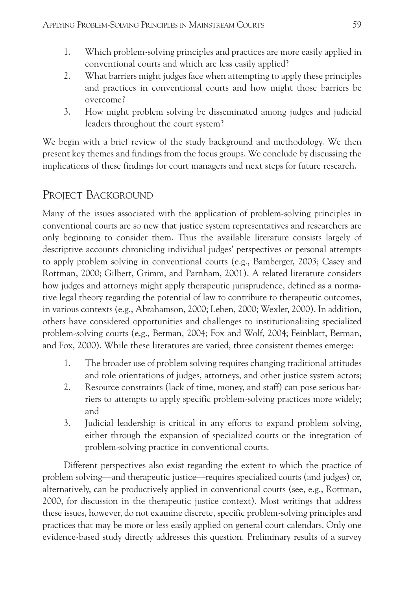- 1. Which problem-solving principles and practices are more easily applied in conventional courts and which are less easily applied?
- 2. What barriers might judges face when attempting to apply these principles and practices in conventional courts and how might those barriers be overcome?
- 3. How might problem solving be disseminated among judges and judicial leaders throughout the court system?

We begin with a brief review of the study background and methodology. We then present key themes and findings from the focus groups. We conclude by discussing the implications of these findings for court managers and next steps for future research.

# PROJECT BACKGROUND

Many of the issues associated with the application of problem-solving principles in conventional courts are so new that justice system representatives and researchers are only beginning to consider them. Thus the available literature consists largely of descriptive accounts chronicling individual judges' perspectives or personal attempts to apply problem solving in conventional courts (e.g., Bamberger, 2003; Casey and Rottman, 2000; Gilbert, Grimm, and Parnham, 2001). A related literature considers how judges and attorneys might apply therapeutic jurisprudence, defined as a normative legal theory regarding the potential of law to contribute to therapeutic outcomes, in various contexts (e.g., Abrahamson, 2000; Leben, 2000; Wexler, 2000). In addition, others have considered opportunities and challenges to institutionalizing specialized problem-solving courts (e.g., Berman, 2004; Fox and Wolf, 2004; Feinblatt, Berman, and Fox, 2000). While these literatures are varied, three consistent themes emerge:

- 1. The broader use of problem solving requires changing traditional attitudes and role orientations of judges, attorneys, and other justice system actors;
- 2. Resource constraints (lack of time, money, and staff) can pose serious barriers to attempts to apply specific problem-solving practices more widely; and
- 3. Judicial leadership is critical in any efforts to expand problem solving, either through the expansion of specialized courts or the integration of problem-solving practice in conventional courts.

Different perspectives also exist regarding the extent to which the practice of problem solving—and therapeutic justice—requires specialized courts (and judges) or, alternatively, can be productively applied in conventional courts (see, e.g., Rottman, 2000, for discussion in the therapeutic justice context). Most writings that address these issues, however, do not examine discrete, specific problem-solving principles and practices that may be more or less easily applied on general court calendars. Only one evidence-based study directly addresses this question. Preliminary results of a survey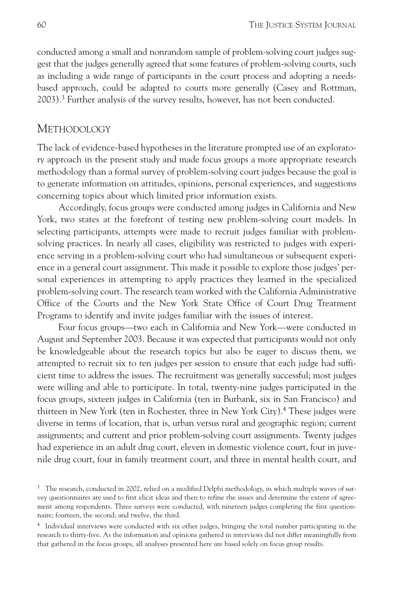conducted among a small and nonrandom sample of problem-solving court judges suggest that the judges generally agreed that some features of problem-solving courts, such as including a wide range of participants in the court process and adopting a needsbased approach, could be adapted to courts more generally (Casey and Rottman, 2003).3 Further analysis of the survey results, however, has not been conducted.

#### **METHODOLOGY**

The lack of evidence-based hypotheses in the literature prompted use of an exploratory approach in the present study and made focus groups a more appropriate research methodology than a formal survey of problem-solving court judges because the goal is to generate information on attitudes, opinions, personal experiences, and suggestions concerning topics about which limited prior information exists.

Accordingly, focus groups were conducted among judges in California and New York, two states at the forefront of testing new problem-solving court models. In selecting participants, attempts were made to recruit judges familiar with problemsolving practices. In nearly all cases, eligibility was restricted to judges with experience serving in a problem-solving court who had simultaneous or subsequent experience in a general court assignment. This made it possible to explore those judges' personal experiences in attempting to apply practices they learned in the specialized problem-solving court. The research team worked with the California Administrative Office of the Courts and the New York State Office of Court Drug Treatment Programs to identify and invite judges familiar with the issues of interest.

Four focus groups—two each in California and New York—were conducted in August and September 2003. Because it was expected that participants would not only be knowledgeable about the research topics but also be eager to discuss them, we attempted to recruit six to ten judges per session to ensure that each judge had sufficient time to address the issues. The recruitment was generally successful; most judges were willing and able to participate. In total, twenty-nine judges participated in the focus groups, sixteen judges in California (ten in Burbank, six in San Francisco) and thirteen in New York (ten in Rochester, three in New York City).4 These judges were diverse in terms of location, that is, urban versus rural and geographic region; current assignments; and current and prior problem-solving court assignments. Twenty judges had experience in an adult drug court, eleven in domestic violence court, four in juvenile drug court, four in family treatment court, and three in mental health court, and

<sup>&</sup>lt;sup>3</sup> The research, conducted in 2002, relied on a modified Delphi methodology, in which multiple waves of survey questionnaires are used to first elicit ideas and then to refine the issues and determine the extent of agreement among respondents. Three surveys were conducted, with nineteen judges completing the first questionnaire; fourteen, the second; and twelve, the third.

<sup>4</sup> Individual interviews were conducted with six other judges, bringing the total number participating in the research to thirty-five. As the information and opinions gathered in interviews did not differ meaningfully from that gathered in the focus groups, all analyses presented here are based solely on focus group results.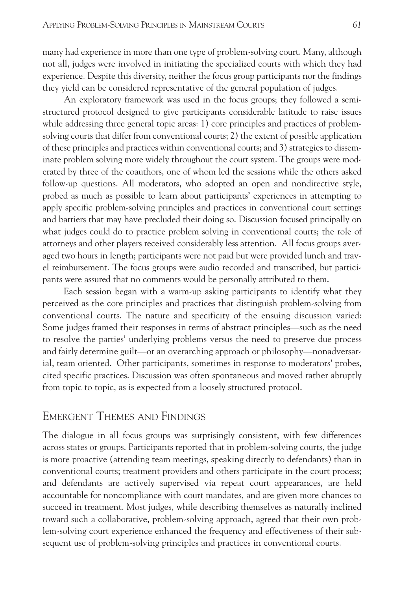many had experience in more than one type of problem-solving court. Many, although not all, judges were involved in initiating the specialized courts with which they had experience. Despite this diversity, neither the focus group participants nor the findings they yield can be considered representative of the general population of judges.

An exploratory framework was used in the focus groups; they followed a semistructured protocol designed to give participants considerable latitude to raise issues while addressing three general topic areas: 1) core principles and practices of problemsolving courts that differ from conventional courts; 2) the extent of possible application of these principles and practices within conventional courts; and 3) strategies to disseminate problem solving more widely throughout the court system. The groups were moderated by three of the coauthors, one of whom led the sessions while the others asked follow-up questions. All moderators, who adopted an open and nondirective style, probed as much as possible to learn about participants' experiences in attempting to apply specific problem-solving principles and practices in conventional court settings and barriers that may have precluded their doing so. Discussion focused principally on what judges could do to practice problem solving in conventional courts; the role of attorneys and other players received considerably less attention. All focus groups averaged two hours in length; participants were not paid but were provided lunch and travel reimbursement. The focus groups were audio recorded and transcribed, but participants were assured that no comments would be personally attributed to them.

Each session began with a warm-up asking participants to identify what they perceived as the core principles and practices that distinguish problem-solving from conventional courts. The nature and specificity of the ensuing discussion varied: Some judges framed their responses in terms of abstract principles—such as the need to resolve the parties' underlying problems versus the need to preserve due process and fairly determine guilt—or an overarching approach or philosophy—nonadversarial, team oriented. Other participants, sometimes in response to moderators' probes, cited specific practices. Discussion was often spontaneous and moved rather abruptly from topic to topic, as is expected from a loosely structured protocol.

### EMERGENT THEMES AND FINDINGS

The dialogue in all focus groups was surprisingly consistent, with few differences across states or groups. Participants reported that in problem-solving courts, the judge is more proactive (attending team meetings, speaking directly to defendants) than in conventional courts; treatment providers and others participate in the court process; and defendants are actively supervised via repeat court appearances, are held accountable for noncompliance with court mandates, and are given more chances to succeed in treatment. Most judges, while describing themselves as naturally inclined toward such a collaborative, problem-solving approach, agreed that their own problem-solving court experience enhanced the frequency and effectiveness of their subsequent use of problem-solving principles and practices in conventional courts.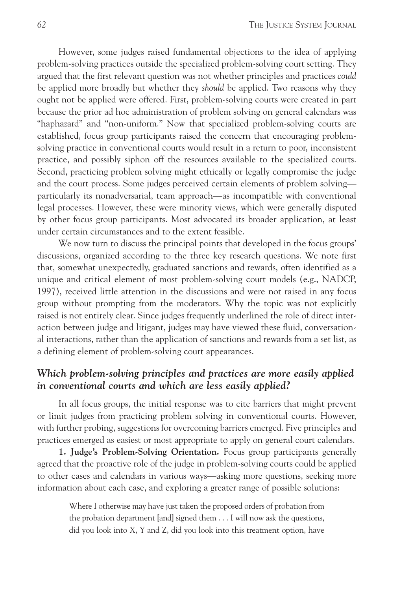However, some judges raised fundamental objections to the idea of applying problem-solving practices outside the specialized problem-solving court setting. They argued that the first relevant question was not whether principles and practices *could* be applied more broadly but whether they *should* be applied. Two reasons why they ought not be applied were offered. First, problem-solving courts were created in part because the prior ad hoc administration of problem solving on general calendars was "haphazard" and "non-uniform." Now that specialized problem-solving courts are established, focus group participants raised the concern that encouraging problemsolving practice in conventional courts would result in a return to poor, inconsistent practice, and possibly siphon off the resources available to the specialized courts. Second, practicing problem solving might ethically or legally compromise the judge and the court process. Some judges perceived certain elements of problem solving particularly its nonadversarial, team approach—as incompatible with conventional legal processes. However, these were minority views, which were generally disputed by other focus group participants. Most advocated its broader application, at least under certain circumstances and to the extent feasible.

We now turn to discuss the principal points that developed in the focus groups' discussions, organized according to the three key research questions. We note first that, somewhat unexpectedly, graduated sanctions and rewards, often identified as a unique and critical element of most problem-solving court models (e.g., NADCP, 1997), received little attention in the discussions and were not raised in any focus group without prompting from the moderators. Why the topic was not explicitly raised is not entirely clear. Since judges frequently underlined the role of direct interaction between judge and litigant, judges may have viewed these fluid, conversational interactions, rather than the application of sanctions and rewards from a set list, as a defining element of problem-solving court appearances.

#### *Which problem-solving principles and practices are more easily applied in conventional courts and which are less easily applied?*

In all focus groups, the initial response was to cite barriers that might prevent or limit judges from practicing problem solving in conventional courts. However, with further probing, suggestions for overcoming barriers emerged. Five principles and practices emerged as easiest or most appropriate to apply on general court calendars.

**1. Judge's Problem-Solving Orientation.** Focus group participants generally agreed that the proactive role of the judge in problem-solving courts could be applied to other cases and calendars in various ways—asking more questions, seeking more information about each case, and exploring a greater range of possible solutions:

Where I otherwise may have just taken the proposed orders of probation from the probation department [and] signed them . . . I will now ask the questions, did you look into X, Y and Z, did you look into this treatment option, have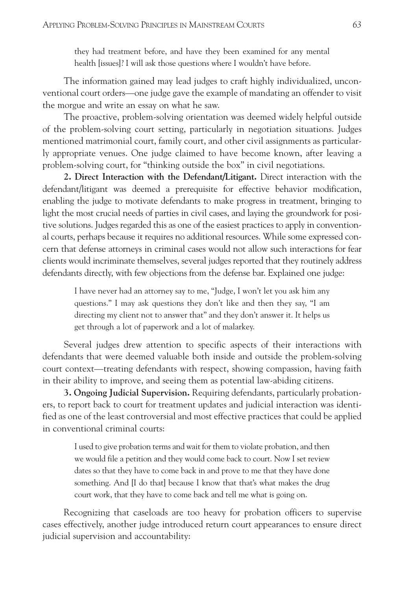they had treatment before, and have they been examined for any mental health [issues]? I will ask those questions where I wouldn't have before.

The information gained may lead judges to craft highly individualized, unconventional court orders—one judge gave the example of mandating an offender to visit the morgue and write an essay on what he saw.

The proactive, problem-solving orientation was deemed widely helpful outside of the problem-solving court setting, particularly in negotiation situations. Judges mentioned matrimonial court, family court, and other civil assignments as particularly appropriate venues. One judge claimed to have become known, after leaving a problem-solving court, for "thinking outside the box" in civil negotiations.

**2. Direct Interaction with the Defendant/Litigant.** Direct interaction with the defendant/litigant was deemed a prerequisite for effective behavior modification, enabling the judge to motivate defendants to make progress in treatment, bringing to light the most crucial needs of parties in civil cases, and laying the groundwork for positive solutions. Judges regarded this as one of the easiest practices to apply in conventional courts, perhaps because it requires no additional resources. While some expressed concern that defense attorneys in criminal cases would not allow such interactions for fear clients would incriminate themselves, several judges reported that they routinely address defendants directly, with few objections from the defense bar. Explained one judge:

I have never had an attorney say to me, "Judge, I won't let you ask him any questions." I may ask questions they don't like and then they say, "I am directing my client not to answer that" and they don't answer it. It helps us get through a lot of paperwork and a lot of malarkey.

Several judges drew attention to specific aspects of their interactions with defendants that were deemed valuable both inside and outside the problem-solving court context—treating defendants with respect, showing compassion, having faith in their ability to improve, and seeing them as potential law-abiding citizens.

**3. Ongoing Judicial Supervision.** Requiring defendants, particularly probationers, to report back to court for treatment updates and judicial interaction was identified as one of the least controversial and most effective practices that could be applied in conventional criminal courts:

I used to give probation terms and wait for them to violate probation, and then we would file a petition and they would come back to court. Now I set review dates so that they have to come back in and prove to me that they have done something. And [I do that] because I know that that's what makes the drug court work, that they have to come back and tell me what is going on.

Recognizing that caseloads are too heavy for probation officers to supervise cases effectively, another judge introduced return court appearances to ensure direct judicial supervision and accountability: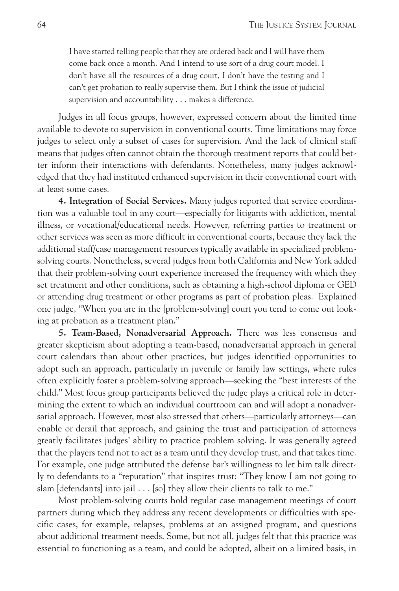I have started telling people that they are ordered back and I will have them come back once a month. And I intend to use sort of a drug court model. I don't have all the resources of a drug court, I don't have the testing and I can't get probation to really supervise them. But I think the issue of judicial supervision and accountability . . . makes a difference.

Judges in all focus groups, however, expressed concern about the limited time available to devote to supervision in conventional courts. Time limitations may force judges to select only a subset of cases for supervision. And the lack of clinical staff means that judges often cannot obtain the thorough treatment reports that could better inform their interactions with defendants. Nonetheless, many judges acknowledged that they had instituted enhanced supervision in their conventional court with at least some cases.

**4. Integration of Social Services.** Many judges reported that service coordination was a valuable tool in any court—especially for litigants with addiction, mental illness, or vocational/educational needs. However, referring parties to treatment or other services was seen as more difficult in conventional courts, because they lack the additional staff/case management resources typically available in specialized problemsolving courts. Nonetheless, several judges from both California and New York added that their problem-solving court experience increased the frequency with which they set treatment and other conditions, such as obtaining a high-school diploma or GED or attending drug treatment or other programs as part of probation pleas. Explained one judge, "When you are in the [problem-solving] court you tend to come out looking at probation as a treatment plan."

**5. Team-Based, Nonadversarial Approach.** There was less consensus and greater skepticism about adopting a team-based, nonadversarial approach in general court calendars than about other practices, but judges identified opportunities to adopt such an approach, particularly in juvenile or family law settings, where rules often explicitly foster a problem-solving approach—seeking the "best interests of the child." Most focus group participants believed the judge plays a critical role in determining the extent to which an individual courtroom can and will adopt a nonadversarial approach. However, most also stressed that others—particularly attorneys—can enable or derail that approach, and gaining the trust and participation of attorneys greatly facilitates judges' ability to practice problem solving. It was generally agreed that the players tend not to act as a team until they develop trust, and that takes time. For example, one judge attributed the defense bar's willingness to let him talk directly to defendants to a "reputation" that inspires trust: "They know I am not going to slam [defendants] into jail  $\ldots$  [so] they allow their clients to talk to me."

Most problem-solving courts hold regular case management meetings of court partners during which they address any recent developments or difficulties with specific cases, for example, relapses, problems at an assigned program, and questions about additional treatment needs. Some, but not all, judges felt that this practice was essential to functioning as a team, and could be adopted, albeit on a limited basis, in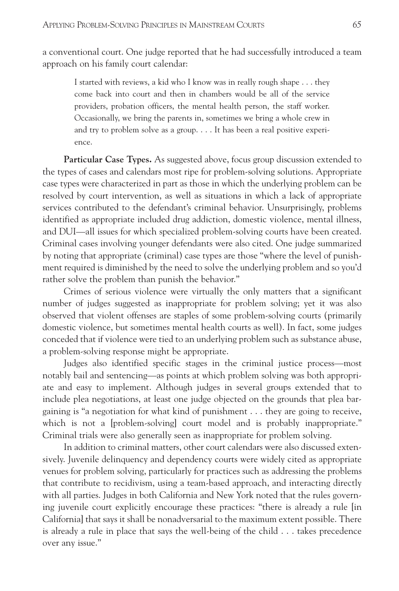a conventional court. One judge reported that he had successfully introduced a team approach on his family court calendar:

I started with reviews, a kid who I know was in really rough shape . . . they come back into court and then in chambers would be all of the service providers, probation officers, the mental health person, the staff worker. Occasionally, we bring the parents in, sometimes we bring a whole crew in and try to problem solve as a group. . . . It has been a real positive experience.

**Particular Case Types.** As suggested above, focus group discussion extended to the types of cases and calendars most ripe for problem-solving solutions. Appropriate case types were characterized in part as those in which the underlying problem can be resolved by court intervention, as well as situations in which a lack of appropriate services contributed to the defendant's criminal behavior. Unsurprisingly, problems identified as appropriate included drug addiction, domestic violence, mental illness, and DUI—all issues for which specialized problem-solving courts have been created. Criminal cases involving younger defendants were also cited. One judge summarized by noting that appropriate (criminal) case types are those "where the level of punishment required is diminished by the need to solve the underlying problem and so you'd rather solve the problem than punish the behavior."

Crimes of serious violence were virtually the only matters that a significant number of judges suggested as inappropriate for problem solving; yet it was also observed that violent offenses are staples of some problem-solving courts (primarily domestic violence, but sometimes mental health courts as well). In fact, some judges conceded that if violence were tied to an underlying problem such as substance abuse, a problem-solving response might be appropriate.

Judges also identified specific stages in the criminal justice process—most notably bail and sentencing—as points at which problem solving was both appropriate and easy to implement. Although judges in several groups extended that to include plea negotiations, at least one judge objected on the grounds that plea bargaining is "a negotiation for what kind of punishment . . . they are going to receive, which is not a [problem-solving] court model and is probably inappropriate." Criminal trials were also generally seen as inappropriate for problem solving.

In addition to criminal matters, other court calendars were also discussed extensively. Juvenile delinquency and dependency courts were widely cited as appropriate venues for problem solving, particularly for practices such as addressing the problems that contribute to recidivism, using a team-based approach, and interacting directly with all parties. Judges in both California and New York noted that the rules governing juvenile court explicitly encourage these practices: "there is already a rule [in California] that says it shall be nonadversarial to the maximum extent possible. There is already a rule in place that says the well-being of the child . . . takes precedence over any issue."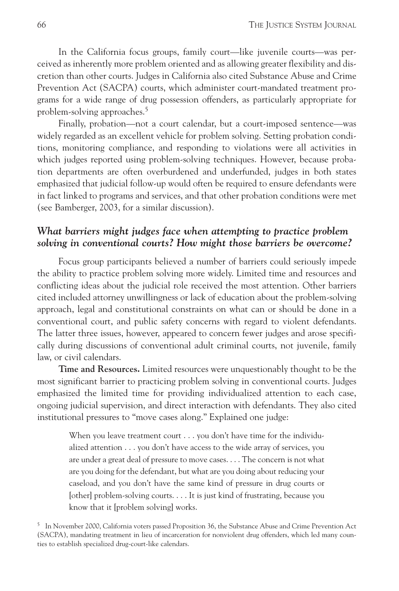In the California focus groups, family court—like juvenile courts—was perceived as inherently more problem oriented and as allowing greater flexibility and discretion than other courts. Judges in California also cited Substance Abuse and Crime Prevention Act (SACPA) courts, which administer court-mandated treatment programs for a wide range of drug possession offenders, as particularly appropriate for problem-solving approaches.5

Finally, probation—not a court calendar, but a court-imposed sentence—was widely regarded as an excellent vehicle for problem solving. Setting probation conditions, monitoring compliance, and responding to violations were all activities in which judges reported using problem-solving techniques. However, because probation departments are often overburdened and underfunded, judges in both states emphasized that judicial follow-up would often be required to ensure defendants were in fact linked to programs and services, and that other probation conditions were met (see Bamberger, 2003, for a similar discussion).

#### *What barriers might judges face when attempting to practice problem solving in conventional courts? How might those barriers be overcome?*

Focus group participants believed a number of barriers could seriously impede the ability to practice problem solving more widely. Limited time and resources and conflicting ideas about the judicial role received the most attention. Other barriers cited included attorney unwillingness or lack of education about the problem-solving approach, legal and constitutional constraints on what can or should be done in a conventional court, and public safety concerns with regard to violent defendants. The latter three issues, however, appeared to concern fewer judges and arose specifically during discussions of conventional adult criminal courts, not juvenile, family law, or civil calendars.

**Time and Resources.** Limited resources were unquestionably thought to be the most significant barrier to practicing problem solving in conventional courts. Judges emphasized the limited time for providing individualized attention to each case, ongoing judicial supervision, and direct interaction with defendants. They also cited institutional pressures to "move cases along." Explained one judge:

When you leave treatment court . . . you don't have time for the individualized attention . . . you don't have access to the wide array of services, you are under a great deal of pressure to move cases. . . . The concern is not what are you doing for the defendant, but what are you doing about reducing your caseload, and you don't have the same kind of pressure in drug courts or [other] problem-solving courts. . . . It is just kind of frustrating, because you know that it [problem solving] works.

<sup>5</sup> In November 2000, California voters passed Proposition 36, the Substance Abuse and Crime Prevention Act (SACPA), mandating treatment in lieu of incarceration for nonviolent drug offenders, which led many counties to establish specialized drug-court-like calendars.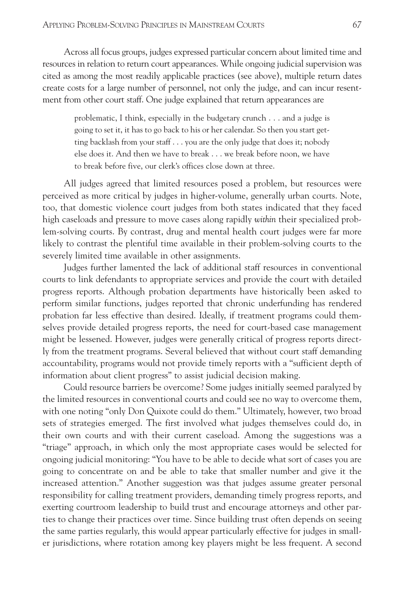Across all focus groups, judges expressed particular concern about limited time and resources in relation to return court appearances. While ongoing judicial supervision was cited as among the most readily applicable practices (see above), multiple return dates create costs for a large number of personnel, not only the judge, and can incur resentment from other court staff. One judge explained that return appearances are

problematic, I think, especially in the budgetary crunch . . . and a judge is going to set it, it has to go back to his or her calendar. So then you start getting backlash from your staff . . . you are the only judge that does it; nobody else does it. And then we have to break . . . we break before noon, we have to break before five, our clerk's offices close down at three.

All judges agreed that limited resources posed a problem, but resources were perceived as more critical by judges in higher-volume, generally urban courts. Note, too, that domestic violence court judges from both states indicated that they faced high caseloads and pressure to move cases along rapidly *within* their specialized problem-solving courts. By contrast, drug and mental health court judges were far more likely to contrast the plentiful time available in their problem-solving courts to the severely limited time available in other assignments.

Judges further lamented the lack of additional staff resources in conventional courts to link defendants to appropriate services and provide the court with detailed progress reports. Although probation departments have historically been asked to perform similar functions, judges reported that chronic underfunding has rendered probation far less effective than desired. Ideally, if treatment programs could themselves provide detailed progress reports, the need for court-based case management might be lessened. However, judges were generally critical of progress reports directly from the treatment programs. Several believed that without court staff demanding accountability, programs would not provide timely reports with a "sufficient depth of information about client progress" to assist judicial decision making.

Could resource barriers be overcome? Some judges initially seemed paralyzed by the limited resources in conventional courts and could see no way to overcome them, with one noting "only Don Quixote could do them." Ultimately, however, two broad sets of strategies emerged. The first involved what judges themselves could do, in their own courts and with their current caseload. Among the suggestions was a "triage" approach, in which only the most appropriate cases would be selected for ongoing judicial monitoring: "You have to be able to decide what sort of cases you are going to concentrate on and be able to take that smaller number and give it the increased attention." Another suggestion was that judges assume greater personal responsibility for calling treatment providers, demanding timely progress reports, and exerting courtroom leadership to build trust and encourage attorneys and other parties to change their practices over time. Since building trust often depends on seeing the same parties regularly, this would appear particularly effective for judges in smaller jurisdictions, where rotation among key players might be less frequent. A second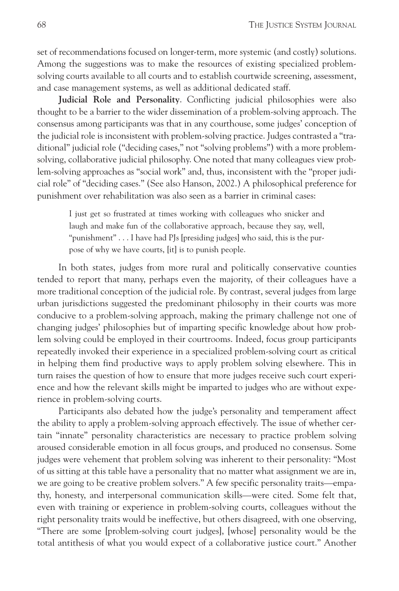set of recommendations focused on longer-term, more systemic (and costly) solutions. Among the suggestions was to make the resources of existing specialized problemsolving courts available to all courts and to establish courtwide screening, assessment, and case management systems, as well as additional dedicated staff.

**Judicial Role and Personality**. Conflicting judicial philosophies were also thought to be a barrier to the wider dissemination of a problem-solving approach. The consensus among participants was that in any courthouse, some judges' conception of the judicial role is inconsistent with problem-solving practice. Judges contrasted a "traditional" judicial role ("deciding cases," not "solving problems") with a more problemsolving, collaborative judicial philosophy. One noted that many colleagues view problem-solving approaches as "social work" and, thus, inconsistent with the "proper judicial role" of "deciding cases." (See also Hanson, 2002.) A philosophical preference for punishment over rehabilitation was also seen as a barrier in criminal cases:

I just get so frustrated at times working with colleagues who snicker and laugh and make fun of the collaborative approach, because they say, well, "punishment" . . . I have had PJs [presiding judges] who said, this is the purpose of why we have courts, [it] is to punish people.

In both states, judges from more rural and politically conservative counties tended to report that many, perhaps even the majority, of their colleagues have a more traditional conception of the judicial role. By contrast, several judges from large urban jurisdictions suggested the predominant philosophy in their courts was more conducive to a problem-solving approach, making the primary challenge not one of changing judges' philosophies but of imparting specific knowledge about how problem solving could be employed in their courtrooms. Indeed, focus group participants repeatedly invoked their experience in a specialized problem-solving court as critical in helping them find productive ways to apply problem solving elsewhere. This in turn raises the question of how to ensure that more judges receive such court experience and how the relevant skills might be imparted to judges who are without experience in problem-solving courts.

Participants also debated how the judge's personality and temperament affect the ability to apply a problem-solving approach effectively. The issue of whether certain "innate" personality characteristics are necessary to practice problem solving aroused considerable emotion in all focus groups, and produced no consensus. Some judges were vehement that problem solving was inherent to their personality: "Most of us sitting at this table have a personality that no matter what assignment we are in, we are going to be creative problem solvers." A few specific personality traits—empathy, honesty, and interpersonal communication skills—were cited. Some felt that, even with training or experience in problem-solving courts, colleagues without the right personality traits would be ineffective, but others disagreed, with one observing, "There are some [problem-solving court judges], [whose] personality would be the total antithesis of what you would expect of a collaborative justice court." Another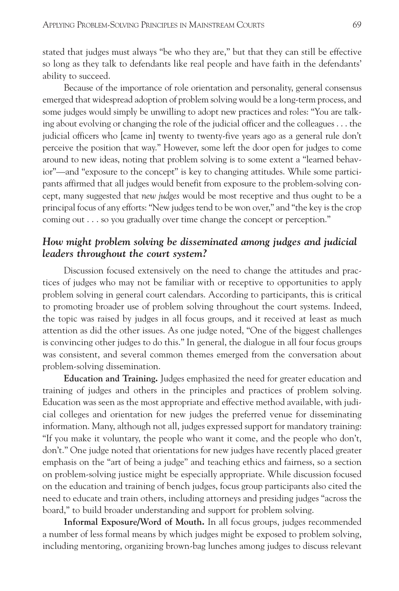stated that judges must always "be who they are," but that they can still be effective so long as they talk to defendants like real people and have faith in the defendants' ability to succeed.

Because of the importance of role orientation and personality, general consensus emerged that widespread adoption of problem solving would be a long-term process, and some judges would simply be unwilling to adopt new practices and roles: "You are talking about evolving or changing the role of the judicial officer and the colleagues . . . the judicial officers who [came in] twenty to twenty-five years ago as a general rule don't perceive the position that way." However, some left the door open for judges to come around to new ideas, noting that problem solving is to some extent a "learned behavior"—and "exposure to the concept" is key to changing attitudes. While some participants affirmed that all judges would benefit from exposure to the problem-solving concept, many suggested that *new judges* would be most receptive and thus ought to be a principal focus of any efforts: "New judges tend to be won over," and "the key is the crop coming out . . . so you gradually over time change the concept or perception."

### *How might problem solving be disseminated among judges and judicial leaders throughout the court system?*

Discussion focused extensively on the need to change the attitudes and practices of judges who may not be familiar with or receptive to opportunities to apply problem solving in general court calendars. According to participants, this is critical to promoting broader use of problem solving throughout the court systems. Indeed, the topic was raised by judges in all focus groups, and it received at least as much attention as did the other issues. As one judge noted, "One of the biggest challenges is convincing other judges to do this." In general, the dialogue in all four focus groups was consistent, and several common themes emerged from the conversation about problem-solving dissemination.

**Education and Training.** Judges emphasized the need for greater education and training of judges and others in the principles and practices of problem solving. Education was seen as the most appropriate and effective method available, with judicial colleges and orientation for new judges the preferred venue for disseminating information. Many, although not all, judges expressed support for mandatory training: "If you make it voluntary, the people who want it come, and the people who don't, don't." One judge noted that orientations for new judges have recently placed greater emphasis on the "art of being a judge" and teaching ethics and fairness, so a section on problem-solving justice might be especially appropriate. While discussion focused on the education and training of bench judges, focus group participants also cited the need to educate and train others, including attorneys and presiding judges "across the board," to build broader understanding and support for problem solving.

**Informal Exposure/Word of Mouth.** In all focus groups, judges recommended a number of less formal means by which judges might be exposed to problem solving, including mentoring, organizing brown-bag lunches among judges to discuss relevant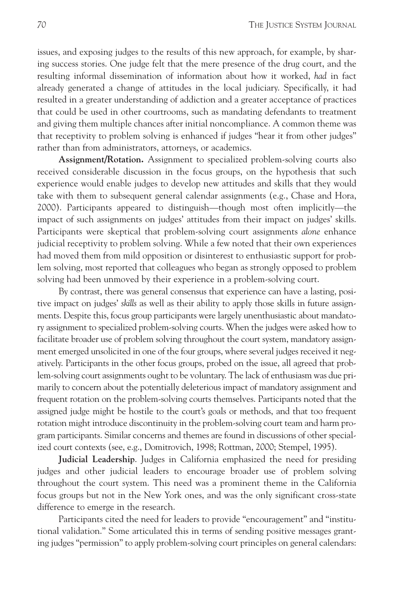issues, and exposing judges to the results of this new approach, for example, by sharing success stories. One judge felt that the mere presence of the drug court, and the resulting informal dissemination of information about how it worked, *had* in fact already generated a change of attitudes in the local judiciary. Specifically, it had resulted in a greater understanding of addiction and a greater acceptance of practices that could be used in other courtrooms, such as mandating defendants to treatment and giving them multiple chances after initial noncompliance. A common theme was that receptivity to problem solving is enhanced if judges "hear it from other judges" rather than from administrators, attorneys, or academics.

**Assignment/Rotation.** Assignment to specialized problem-solving courts also received considerable discussion in the focus groups, on the hypothesis that such experience would enable judges to develop new attitudes and skills that they would take with them to subsequent general calendar assignments (e.g., Chase and Hora, 2000). Participants appeared to distinguish—though most often implicitly—the impact of such assignments on judges' attitudes from their impact on judges' skills. Participants were skeptical that problem-solving court assignments *alone* enhance judicial receptivity to problem solving. While a few noted that their own experiences had moved them from mild opposition or disinterest to enthusiastic support for problem solving, most reported that colleagues who began as strongly opposed to problem solving had been unmoved by their experience in a problem-solving court.

By contrast, there was general consensus that experience can have a lasting, positive impact on judges' *skills* as well as their ability to apply those skills in future assignments. Despite this, focus group participants were largely unenthusiastic about mandatory assignment to specialized problem-solving courts. When the judges were asked how to facilitate broader use of problem solving throughout the court system, mandatory assignment emerged unsolicited in one of the four groups, where several judges received it negatively. Participants in the other focus groups, probed on the issue, all agreed that problem-solving court assignments ought to be voluntary. The lack of enthusiasm was due primarily to concern about the potentially deleterious impact of mandatory assignment and frequent rotation on the problem-solving courts themselves. Participants noted that the assigned judge might be hostile to the court's goals or methods, and that too frequent rotation might introduce discontinuity in the problem-solving court team and harm program participants. Similar concerns and themes are found in discussions of other specialized court contexts (see, e.g., Domitrovich, 1998; Rottman, 2000; Stempel, 1995).

**Judicial Leadership**. Judges in California emphasized the need for presiding judges and other judicial leaders to encourage broader use of problem solving throughout the court system. This need was a prominent theme in the California focus groups but not in the New York ones, and was the only significant cross-state difference to emerge in the research.

Participants cited the need for leaders to provide "encouragement" and "institutional validation." Some articulated this in terms of sending positive messages granting judges "permission" to apply problem-solving court principles on general calendars: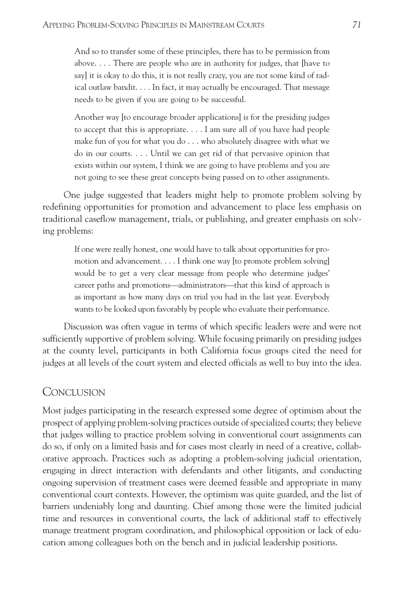And so to transfer some of these principles, there has to be permission from above. . . . There are people who are in authority for judges, that [have to say] it is okay to do this, it is not really crazy, you are not some kind of radical outlaw bandit. . . . In fact, it may actually be encouraged. That message needs to be given if you are going to be successful.

Another way [to encourage broader applications] is for the presiding judges to accept that this is appropriate. . . . I am sure all of you have had people make fun of you for what you do . . . who absolutely disagree with what we do in our courts. . . . Until we can get rid of that pervasive opinion that exists within our system, I think we are going to have problems and you are not going to see these great concepts being passed on to other assignments.

One judge suggested that leaders might help to promote problem solving by redefining opportunities for promotion and advancement to place less emphasis on traditional caseflow management, trials, or publishing, and greater emphasis on solving problems:

If one were really honest, one would have to talk about opportunities for promotion and advancement. . . . I think one way [to promote problem solving] would be to get a very clear message from people who determine judges' career paths and promotions—administrators—that this kind of approach is as important as how many days on trial you had in the last year. Everybody wants to be looked upon favorably by people who evaluate their performance.

Discussion was often vague in terms of which specific leaders were and were not sufficiently supportive of problem solving. While focusing primarily on presiding judges at the county level, participants in both California focus groups cited the need for judges at all levels of the court system and elected officials as well to buy into the idea.

#### CONCLUSION

Most judges participating in the research expressed some degree of optimism about the prospect of applying problem-solving practices outside of specialized courts; they believe that judges willing to practice problem solving in conventional court assignments can do so, if only on a limited basis and for cases most clearly in need of a creative, collaborative approach. Practices such as adopting a problem-solving judicial orientation, engaging in direct interaction with defendants and other litigants, and conducting ongoing supervision of treatment cases were deemed feasible and appropriate in many conventional court contexts. However, the optimism was quite guarded, and the list of barriers undeniably long and daunting. Chief among those were the limited judicial time and resources in conventional courts, the lack of additional staff to effectively manage treatment program coordination, and philosophical opposition or lack of education among colleagues both on the bench and in judicial leadership positions.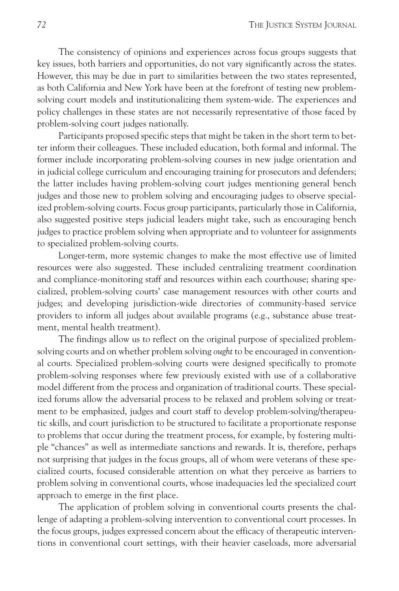The consistency of opinions and experiences across focus groups suggests that key issues, both barriers and opportunities, do not vary significantly across the states. However, this may be due in part to similarities between the two states represented, as both California and New York have been at the forefront of testing new problemsolving court models and institutionalizing them system-wide. The experiences and policy challenges in these states are not necessarily representative of those faced by problem-solving court judges nationally.

Participants proposed specific steps that might be taken in the short term to better inform their colleagues. These included education, both formal and informal. The former include incorporating problem-solving courses in new judge orientation and in judicial college curriculum and encouraging training for prosecutors and defenders; the latter includes having problem-solving court judges mentioning general bench judges and those new to problem solving and encouraging judges to observe specialized problem-solving courts. Focus group participants, particularly those in California, also suggested positive steps judicial leaders might take, such as encouraging bench judges to practice problem solving when appropriate and to volunteer for assignments to specialized problem-solving courts.

Longer-term, more systemic changes to make the most effective use of limited resources were also suggested. These included centralizing treatment coordination and compliance-monitoring staff and resources within each courthouse; sharing specialized, problem-solving courts' case management resources with other courts and judges; and developing jurisdiction-wide directories of community-based service providers to inform all judges about available programs (e.g., substance abuse treatment, mental health treatment).

The findings allow us to reflect on the original purpose of specialized problemsolving courts and on whether problem solving *ought* to be encouraged in conventional courts. Specialized problem-solving courts were designed specifically to promote problem-solving responses where few previously existed with use of a collaborative model different from the process and organization of traditional courts. These specialized forums allow the adversarial process to be relaxed and problem solving or treatment to be emphasized, judges and court staff to develop problem-solving/therapeutic skills, and court jurisdiction to be structured to facilitate a proportionate response to problems that occur during the treatment process, for example, by fostering multiple "chances" as well as intermediate sanctions and rewards. It is, therefore, perhaps not surprising that judges in the focus groups, all of whom were veterans of these specialized courts, focused considerable attention on what they perceive as barriers to problem solving in conventional courts, whose inadequacies led the specialized court approach to emerge in the first place.

The application of problem solving in conventional courts presents the challenge of adapting a problem-solving intervention to conventional court processes. In the focus groups, judges expressed concern about the efficacy of therapeutic interventions in conventional court settings, with their heavier caseloads, more adversarial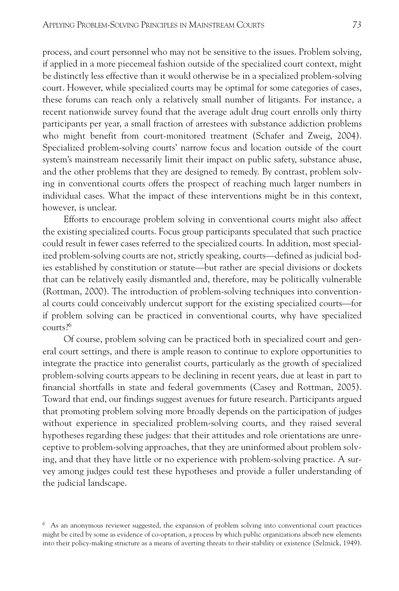process, and court personnel who may not be sensitive to the issues. Problem solving, if applied in a more piecemeal fashion outside of the specialized court context, might be distinctly less effective than it would otherwise be in a specialized problem-solving court. However, while specialized courts may be optimal for some categories of cases, these forums can reach only a relatively small number of litigants. For instance, a recent nationwide survey found that the average adult drug court enrolls only thirty participants per year, a small fraction of arrestees with substance addiction problems who might benefit from court-monitored treatment (Schafer and Zweig, 2004). Specialized problem-solving courts' narrow focus and location outside of the court system's mainstream necessarily limit their impact on public safety, substance abuse, and the other problems that they are designed to remedy. By contrast, problem solving in conventional courts offers the prospect of reaching much larger numbers in individual cases. What the impact of these interventions might be in this context, however, is unclear.

Efforts to encourage problem solving in conventional courts might also affect the existing specialized courts. Focus group participants speculated that such practice could result in fewer cases referred to the specialized courts. In addition, most specialized problem-solving courts are not, strictly speaking, courts—defined as judicial bodies established by constitution or statute—but rather are special divisions or dockets that can be relatively easily dismantled and, therefore, may be politically vulnerable (Rottman, 2000). The introduction of problem-solving techniques into conventional courts could conceivably undercut support for the existing specialized courts—for if problem solving can be practiced in conventional courts, why have specialized courts?6

Of course, problem solving can be practiced both in specialized court and general court settings, and there is ample reason to continue to explore opportunities to integrate the practice into generalist courts, particularly as the growth of specialized problem-solving courts appears to be declining in recent years, due at least in part to financial shortfalls in state and federal governments (Casey and Rottman, 2005). Toward that end, our findings suggest avenues for future research. Participants argued that promoting problem solving more broadly depends on the participation of judges without experience in specialized problem-solving courts, and they raised several hypotheses regarding these judges: that their attitudes and role orientations are unreceptive to problem-solving approaches, that they are uninformed about problem solving, and that they have little or no experience with problem-solving practice. A survey among judges could test these hypotheses and provide a fuller understanding of the judicial landscape.

 $6\text{ As an anonymous reviewer suggested, the expansion of problem solving into conventional court practices}$ might be cited by some as evidence of co-optation, a process by which public organizations absorb new elements into their policy-making structure as a means of averting threats to their stability or existence (Selznick, 1949).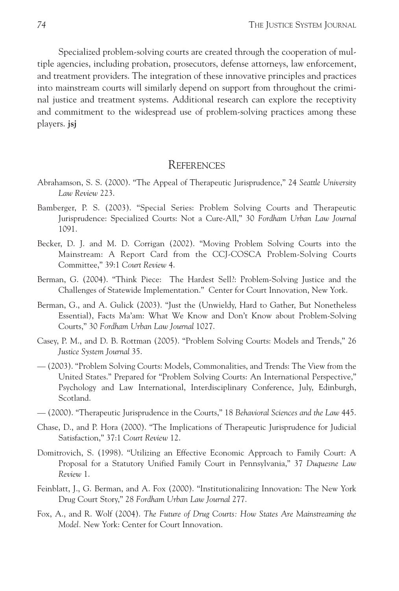Specialized problem-solving courts are created through the cooperation of multiple agencies, including probation, prosecutors, defense attorneys, law enforcement, and treatment providers. The integration of these innovative principles and practices into mainstream courts will similarly depend on support from throughout the criminal justice and treatment systems. Additional research can explore the receptivity and commitment to the widespread use of problem-solving practices among these players. **jsj**

#### **REFERENCES**

- Abrahamson, S. S. (2000). "The Appeal of Therapeutic Jurisprudence," 24 *Seattle University Law Review* 223.
- Bamberger, P. S. (2003). "Special Series: Problem Solving Courts and Therapeutic Jurisprudence: Specialized Courts: Not a Cure-All," 30 *Fordham Urban Law Journal* 1091.
- Becker, D. J. and M. D. Corrigan (2002). "Moving Problem Solving Courts into the Mainstream: A Report Card from the CCJ-COSCA Problem-Solving Courts Committee," 39:1 *Court Review* 4.
- Berman, G. (2004). "Think Piece: The Hardest Sell?: Problem-Solving Justice and the Challenges of Statewide Implementation." Center for Court Innovation, New York.
- Berman, G., and A. Gulick (2003). "Just the (Unwieldy, Hard to Gather, But Nonetheless Essential), Facts Ma'am: What We Know and Don't Know about Problem-Solving Courts," 30 *Fordham Urban Law Journal* 1027.
- Casey, P. M., and D. B. Rottman (2005). "Problem Solving Courts: Models and Trends," 26 *Justice System Journal* 35.
- (2003). "Problem Solving Courts: Models, Commonalities, and Trends: The View from the United States." Prepared for "Problem Solving Courts: An International Perspective," Psychology and Law International, Interdisciplinary Conference, July, Edinburgh, Scotland.
- (2000). "Therapeutic Jurisprudence in the Courts," 18 *Behavioral Sciences and the Law* 445.
- Chase, D., and P. Hora (2000). "The Implications of Therapeutic Jurisprudence for Judicial Satisfaction," 37:1 *Court Review* 12.
- Domitrovich, S. (1998). "Utilizing an Effective Economic Approach to Family Court: A Proposal for a Statutory Unified Family Court in Pennsylvania," 37 *Duquesne Law Review* 1.
- Feinblatt, J., G. Berman, and A. Fox (2000). "Institutionalizing Innovation: The New York Drug Court Story," 28 *Fordham Urban Law Journal* 277.
- Fox, A., and R. Wolf (2004). *The Future of Drug Courts: How States Are Mainstreaming the Model.* New York: Center for Court Innovation.